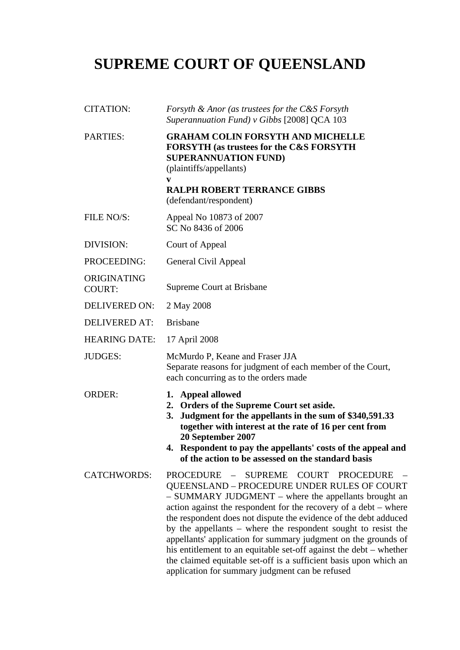## **SUPREME COURT OF QUEENSLAND**

| <b>CITATION:</b>             | Forsyth & Anor (as trustees for the C&S Forsyth<br>Superannuation Fund) v Gibbs [2008] QCA 103                                                                                                                                                                                                                                                                                                                                                                                                                                                                                                                      |
|------------------------------|---------------------------------------------------------------------------------------------------------------------------------------------------------------------------------------------------------------------------------------------------------------------------------------------------------------------------------------------------------------------------------------------------------------------------------------------------------------------------------------------------------------------------------------------------------------------------------------------------------------------|
| <b>PARTIES:</b>              | <b>GRAHAM COLIN FORSYTH AND MICHELLE</b><br><b>FORSYTH (as trustees for the C&amp;S FORSYTH</b><br><b>SUPERANNUATION FUND)</b><br>(plaintiffs/appellants)<br>V<br><b>RALPH ROBERT TERRANCE GIBBS</b>                                                                                                                                                                                                                                                                                                                                                                                                                |
| FILE NO/S:                   | (defendant/respondent)<br>Appeal No 10873 of 2007                                                                                                                                                                                                                                                                                                                                                                                                                                                                                                                                                                   |
|                              | SC No 8436 of 2006                                                                                                                                                                                                                                                                                                                                                                                                                                                                                                                                                                                                  |
| DIVISION:                    | Court of Appeal                                                                                                                                                                                                                                                                                                                                                                                                                                                                                                                                                                                                     |
| PROCEEDING:                  | General Civil Appeal                                                                                                                                                                                                                                                                                                                                                                                                                                                                                                                                                                                                |
| ORIGINATING<br><b>COURT:</b> | Supreme Court at Brisbane                                                                                                                                                                                                                                                                                                                                                                                                                                                                                                                                                                                           |
| <b>DELIVERED ON:</b>         | 2 May 2008                                                                                                                                                                                                                                                                                                                                                                                                                                                                                                                                                                                                          |
| <b>DELIVERED AT:</b>         | <b>Brisbane</b>                                                                                                                                                                                                                                                                                                                                                                                                                                                                                                                                                                                                     |
| <b>HEARING DATE:</b>         | 17 April 2008                                                                                                                                                                                                                                                                                                                                                                                                                                                                                                                                                                                                       |
| <b>JUDGES:</b>               | McMurdo P, Keane and Fraser JJA<br>Separate reasons for judgment of each member of the Court,<br>each concurring as to the orders made                                                                                                                                                                                                                                                                                                                                                                                                                                                                              |
| <b>ORDER:</b>                | 1. Appeal allowed<br>2. Orders of the Supreme Court set aside.<br>Judgment for the appellants in the sum of \$340,591.33<br>3.<br>together with interest at the rate of 16 per cent from<br>20 September 2007<br>4. Respondent to pay the appellants' costs of the appeal and<br>of the action to be assessed on the standard basis                                                                                                                                                                                                                                                                                 |
| <b>CATCHWORDS:</b>           | PROCEDURE - SUPREME COURT PROCEDURE<br>QUEENSLAND - PROCEDURE UNDER RULES OF COURT<br>- SUMMARY JUDGMENT - where the appellants brought an<br>action against the respondent for the recovery of a debt – where<br>the respondent does not dispute the evidence of the debt adduced<br>by the appellants – where the respondent sought to resist the<br>appellants' application for summary judgment on the grounds of<br>his entitlement to an equitable set-off against the debt – whether<br>the claimed equitable set-off is a sufficient basis upon which an<br>application for summary judgment can be refused |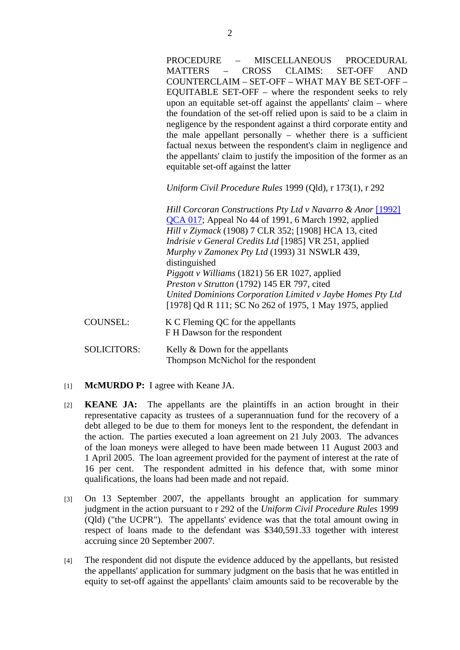PROCEDURE – MISCELLANEOUS PROCEDURAL MATTERS – CROSS CLAIMS: SET-OFF AND COUNTERCLAIM – SET-OFF – WHAT MAY BE SET-OFF – EQUITABLE SET-OFF – where the respondent seeks to rely upon an equitable set-off against the appellants' claim – where the foundation of the set-off relied upon is said to be a claim in negligence by the respondent against a third corporate entity and the male appellant personally – whether there is a sufficient factual nexus between the respondent's claim in negligence and the appellants' claim to justify the imposition of the former as an equitable set-off against the latter

*Uniform Civil Procedure Rules* 1999 (Qld), r 173(1), r 292

*Hill Corcoran Constructions Pty Ltd v Navarro & Anor* [1992] QCA 017; Appeal No 44 of 1991, 6 March 1992, applied *Hill v Ziymack* (1908) 7 CLR 352; [1908] HCA 13, cited *Indrisie v General Credits Ltd* [1985] VR 251, applied *Murphy v Zamonex Pty Ltd* (1993) 31 NSWLR 439, distinguished *Piggott v Williams* (1821) 56 ER 1027, applied *Preston v Strutton* (1792) 145 ER 797, cited *United Dominions Corporation Limited v Jaybe Homes Pty Ltd*  [1978] Qd R 111; SC No 262 of 1975, 1 May 1975, applied

COUNSEL: K C Fleming QC for the appellants F H Dawson for the respondent

SOLICITORS: Kelly & Down for the appellants Thompson McNichol for the respondent

- [1] **McMURDO P:** I agree with Keane JA.
- [2] **KEANE JA:** The appellants are the plaintiffs in an action brought in their representative capacity as trustees of a superannuation fund for the recovery of a debt alleged to be due to them for moneys lent to the respondent, the defendant in the action. The parties executed a loan agreement on 21 July 2003. The advances of the loan moneys were alleged to have been made between 11 August 2003 and 1 April 2005. The loan agreement provided for the payment of interest at the rate of 16 per cent. The respondent admitted in his defence that, with some minor qualifications, the loans had been made and not repaid.
- [3] On 13 September 2007, the appellants brought an application for summary judgment in the action pursuant to r 292 of the *Uniform Civil Procedure Rules* 1999 (Qld) ("the UCPR"). The appellants' evidence was that the total amount owing in respect of loans made to the defendant was \$340,591.33 together with interest accruing since 20 September 2007.
- [4] The respondent did not dispute the evidence adduced by the appellants, but resisted the appellants' application for summary judgment on the basis that he was entitled in equity to set-off against the appellants' claim amounts said to be recoverable by the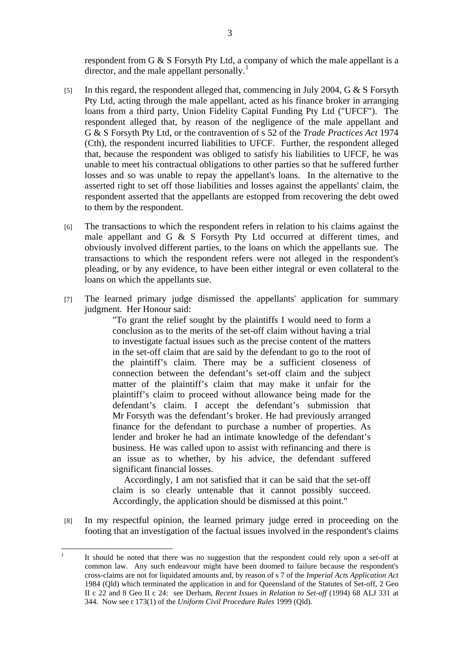respondent from G & S Forsyth Pty Ltd, a company of which the male appellant is a director, and the male appellant personally.<sup>1</sup>

- [5] In this regard, the respondent alleged that, commencing in July 2004, G & S Forsyth Pty Ltd, acting through the male appellant, acted as his finance broker in arranging loans from a third party, Union Fidelity Capital Funding Pty Ltd ("UFCF"). The respondent alleged that, by reason of the negligence of the male appellant and G & S Forsyth Pty Ltd, or the contravention of s 52 of the *Trade Practices Act* 1974 (Cth), the respondent incurred liabilities to UFCF. Further, the respondent alleged that, because the respondent was obliged to satisfy his liabilities to UFCF, he was unable to meet his contractual obligations to other parties so that he suffered further losses and so was unable to repay the appellant's loans. In the alternative to the asserted right to set off those liabilities and losses against the appellants' claim, the respondent asserted that the appellants are estopped from recovering the debt owed to them by the respondent.
- [6] The transactions to which the respondent refers in relation to his claims against the male appellant and G & S Forsyth Pty Ltd occurred at different times, and obviously involved different parties, to the loans on which the appellants sue. The transactions to which the respondent refers were not alleged in the respondent's pleading, or by any evidence, to have been either integral or even collateral to the loans on which the appellants sue.
- [7] The learned primary judge dismissed the appellants' application for summary judgment. Her Honour said:

"To grant the relief sought by the plaintiffs I would need to form a conclusion as to the merits of the set-off claim without having a trial to investigate factual issues such as the precise content of the matters in the set-off claim that are said by the defendant to go to the root of the plaintiff's claim. There may be a sufficient closeness of connection between the defendant's set-off claim and the subject matter of the plaintiff's claim that may make it unfair for the plaintiff's claim to proceed without allowance being made for the defendant's claim. I accept the defendant's submission that Mr Forsyth was the defendant's broker. He had previously arranged finance for the defendant to purchase a number of properties. As lender and broker he had an intimate knowledge of the defendant's business. He was called upon to assist with refinancing and there is an issue as to whether, by his advice, the defendant suffered significant financial losses.

 Accordingly, I am not satisfied that it can be said that the set-off claim is so clearly untenable that it cannot possibly succeed. Accordingly, the application should be dismissed at this point."

[8] In my respectful opinion, the learned primary judge erred in proceeding on the footing that an investigation of the factual issues involved in the respondent's claims

 $\frac{1}{1}$  It should be noted that there was no suggestion that the respondent could rely upon a set-off at common law. Any such endeavour might have been doomed to failure because the respondent's cross-claims are not for liquidated amounts and, by reason of s 7 of the *Imperial Acts Application Act*  1984 (Qld) which terminated the application in and for Queensland of the Statutes of Set-off, 2 Geo II c 22 and 8 Geo II c 24: see Derham, *Recent Issues in Relation to Set-off* (1994) 68 ALJ 331 at 344. Now see r 173(1) of the *Uniform Civil Procedure Rules* 1999 (Qld).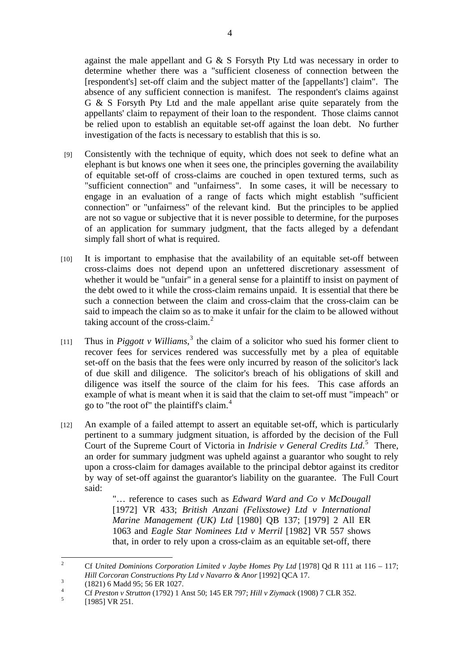against the male appellant and G & S Forsyth Pty Ltd was necessary in order to determine whether there was a "sufficient closeness of connection between the [respondent's] set-off claim and the subject matter of the [appellants'] claim". The absence of any sufficient connection is manifest. The respondent's claims against G & S Forsyth Pty Ltd and the male appellant arise quite separately from the appellants' claim to repayment of their loan to the respondent. Those claims cannot be relied upon to establish an equitable set-off against the loan debt. No further investigation of the facts is necessary to establish that this is so.

- [9] Consistently with the technique of equity, which does not seek to define what an elephant is but knows one when it sees one, the principles governing the availability of equitable set-off of cross-claims are couched in open textured terms, such as "sufficient connection" and "unfairness". In some cases, it will be necessary to engage in an evaluation of a range of facts which might establish "sufficient connection" or "unfairness" of the relevant kind. But the principles to be applied are not so vague or subjective that it is never possible to determine, for the purposes of an application for summary judgment, that the facts alleged by a defendant simply fall short of what is required.
- [10] It is important to emphasise that the availability of an equitable set-off between cross-claims does not depend upon an unfettered discretionary assessment of whether it would be "unfair" in a general sense for a plaintiff to insist on payment of the debt owed to it while the cross-claim remains unpaid. It is essential that there be such a connection between the claim and cross-claim that the cross-claim can be said to impeach the claim so as to make it unfair for the claim to be allowed without taking account of the cross-claim. $<sup>2</sup>$ </sup>
- [11] Thus in *Piggott v Williams*,<sup>3</sup> the claim of a solicitor who sued his former client to recover fees for services rendered was successfully met by a plea of equitable set-off on the basis that the fees were only incurred by reason of the solicitor's lack of due skill and diligence. The solicitor's breach of his obligations of skill and diligence was itself the source of the claim for his fees. This case affords an example of what is meant when it is said that the claim to set-off must "impeach" or go to "the root of" the plaintiff's claim.<sup>4</sup>
- [12] An example of a failed attempt to assert an equitable set-off, which is particularly pertinent to a summary judgment situation, is afforded by the decision of the Full Court of the Supreme Court of Victoria in *Indrisie v General Credits Ltd*.<sup>5</sup> There, an order for summary judgment was upheld against a guarantor who sought to rely upon a cross-claim for damages available to the principal debtor against its creditor by way of set-off against the guarantor's liability on the guarantee. The Full Court said:

"… reference to cases such as *Edward Ward and Co v McDougall* [1972] VR 433; *British Anzani (Felixstowe) Ltd v International Marine Management (UK) Ltd* [1980] QB 137; [1979] 2 All ER 1063 and *Eagle Star Nominees Ltd v Merril* [1982] VR 557 shows that, in order to rely upon a cross-claim as an equitable set-off, there

 $\frac{1}{2}$  Cf *United Dominions Corporation Limited v Jaybe Homes Pty Ltd* [1978] Qd R 111 at 116 – 117; *Hill Corcoran Constructions Pty Ltd v Navarro & Anor* [1992] QCA 17.

 <sup>(1821) 6</sup> Madd 95; 56 ER 1027.

<sup>4</sup> Cf *Preston v Strutton* (1792) 1 Anst 50; 145 ER 797; *Hill v Ziymack* (1908) 7 CLR 352. 5

<sup>[1985]</sup> VR 251.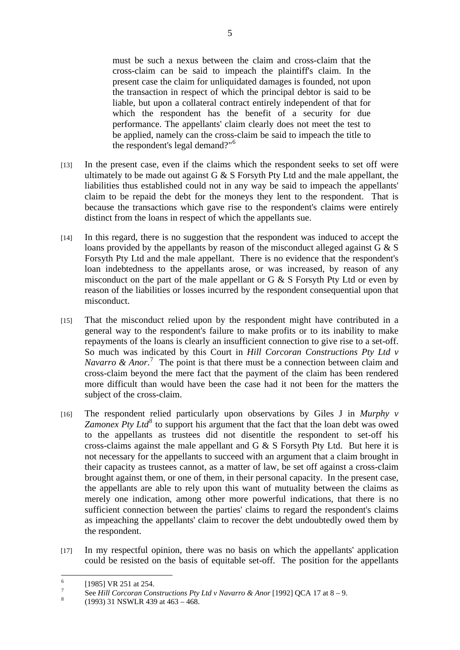must be such a nexus between the claim and cross-claim that the cross-claim can be said to impeach the plaintiff's claim. In the present case the claim for unliquidated damages is founded, not upon the transaction in respect of which the principal debtor is said to be liable, but upon a collateral contract entirely independent of that for which the respondent has the benefit of a security for due performance. The appellants' claim clearly does not meet the test to be applied, namely can the cross-claim be said to impeach the title to the respondent's legal demand?"<sup>6</sup>

- [13] In the present case, even if the claims which the respondent seeks to set off were ultimately to be made out against G & S Forsyth Pty Ltd and the male appellant, the liabilities thus established could not in any way be said to impeach the appellants' claim to be repaid the debt for the moneys they lent to the respondent. That is because the transactions which gave rise to the respondent's claims were entirely distinct from the loans in respect of which the appellants sue.
- [14] In this regard, there is no suggestion that the respondent was induced to accept the loans provided by the appellants by reason of the misconduct alleged against G & S Forsyth Pty Ltd and the male appellant. There is no evidence that the respondent's loan indebtedness to the appellants arose, or was increased, by reason of any misconduct on the part of the male appellant or G  $\&$  S Forsyth Pty Ltd or even by reason of the liabilities or losses incurred by the respondent consequential upon that misconduct.
- [15] That the misconduct relied upon by the respondent might have contributed in a general way to the respondent's failure to make profits or to its inability to make repayments of the loans is clearly an insufficient connection to give rise to a set-off. So much was indicated by this Court in *Hill Corcoran Constructions Pty Ltd v*  Navarro & Anor.<sup>7</sup> The point is that there must be a connection between claim and cross-claim beyond the mere fact that the payment of the claim has been rendered more difficult than would have been the case had it not been for the matters the subject of the cross-claim.
- [16] The respondent relied particularly upon observations by Giles J in *Murphy v Zamonex Pty Ltd*<sup>8</sup> to support his argument that the fact that the loan debt was owed to the appellants as trustees did not disentitle the respondent to set-off his cross-claims against the male appellant and G & S Forsyth Pty Ltd. But here it is not necessary for the appellants to succeed with an argument that a claim brought in their capacity as trustees cannot, as a matter of law, be set off against a cross-claim brought against them, or one of them, in their personal capacity. In the present case, the appellants are able to rely upon this want of mutuality between the claims as merely one indication, among other more powerful indications, that there is no sufficient connection between the parties' claims to regard the respondent's claims as impeaching the appellants' claim to recover the debt undoubtedly owed them by the respondent.
- [17] In my respectful opinion, there was no basis on which the appellants' application could be resisted on the basis of equitable set-off. The position for the appellants

 $\frac{1}{6}$ [1985] VR 251 at 254.

<sup>7</sup> See *Hill Corcoran Constructions Pty Ltd v Navarro & Anor* [1992] QCA 17 at  $8 - 9$ .

 <sup>(1993) 31</sup> NSWLR 439 at 463 – 468.